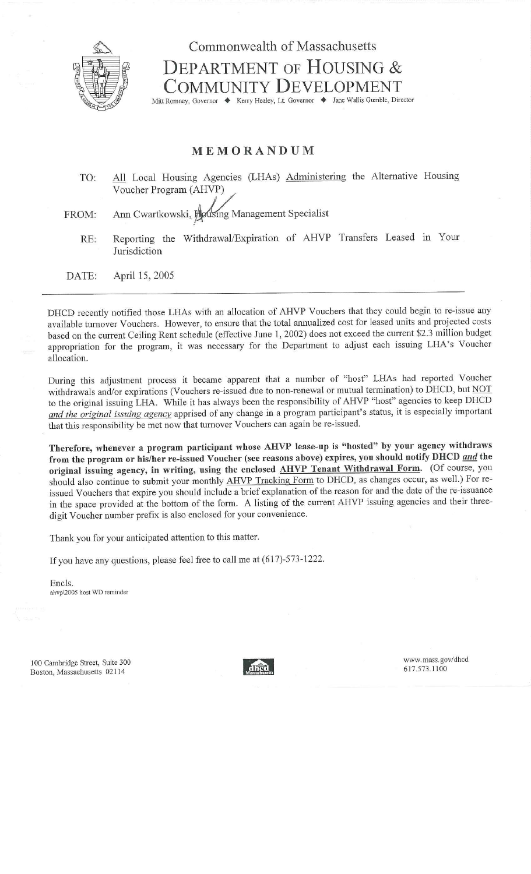

## Commonwealth of Massachusetts DEPARTMENT OF HOUSING & COMMUNITY DEVELOPMENT

Mitt Romney, Governor ♦ Kerry Healey, Lt. Governor ♦ Jane Wallis Gumble, Director

## MEMORANDUM

 TO: All Local Housing Agencies (LHAs) Administering the Alternative Housing Voucher Program (AHVP)

FROM: Ann Cwartkowski, Housing Management Specialist

RE: Reporting the Withdrawal/Expiration of AHVP Transfers Leased in Your Jurisdiction

DATE: April 15, 2005

DHCD recently notified those LHAs with an allocation of AHVP Vouchers that they could begin to re-issue any available turnover Vouchers. However, to ensure that the total annualized cost for leased units and projected costs based on the current Ceiling Rent schedule (effective June 1, 2002) does not exceed the current \$2.3 million budget appropriation for the program, it was necessary for the Department to adjust each issuing LHA's Voucher allocation.

During this adjustment process it became apparent that a number of "host" LHAs had reported Voucher withdrawals and/or expirations (Vouchers re-issued due to non-renewal or mutual termination) to DHCD, but NOT to the original issuing LHA. While it has always been the responsibility of AHVP "host" agencies to keep DHCD *and the original issuing agency* apprised of any change in a program participant's status, it is especially important that this responsibility be met now that turnover Vouchers can again be re-issued.

**Therefore, whenever a program participant whose AHVP lease-up is "hosted" by your agency withdraws from the program or his/her re-issued Voucher (see reasons above) expires, you should notify DHCD** *and* **the original issuing agency, in writing, using the enclosed AHVP Tenant Withdrawal Form.** (Of course, you should also continue to submit your monthly AHVP Tracking Form to DHCD, as changes occur, as well.) For reissued Vouchers that expire you should include a brief explanation of the reason for and the date of the re-issuance in the space provided at the bottom of the form. A listing of the current AHVP issuing agencies and their threedigit Voucher number prefix is also enclosed for your convenience.

Thank you for your anticipated attention **to** this matter.

If you have any questions, please feel free to call me at (617)-573-1222.

Encls. ahvp12005 host WD reminder

100 Cambridge Street, Suite 300 Boston, Massachusetts 02114



www. mass.gov/dhcd 617.573.1100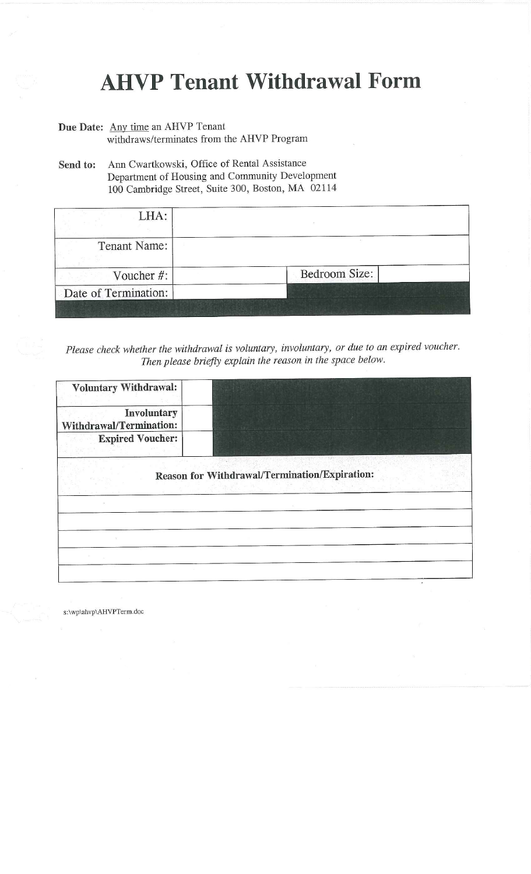## **AHVP Tenant Withdrawal Form**

- Due Date: Any time an AHVP Tenant withdraws/terminates from the AHVP Program
- Send **to:** Ann Cwartkowski, Office of Rental Assistance Department of Housing and Community Development 100 Cambridge Street, Suite 300, Boston, MA 02114

| LHA:                 |               |
|----------------------|---------------|
| <b>Tenant Name:</b>  |               |
| Voucher #:           | Bedroom Size: |
| Date of Termination: |               |

*Please check whether the withdrawal is voluntary, involuntary, or due to an expired voucher. Then please briefly explain the reason in the space below.*

| <b>Voluntary Withdrawal:</b>                  |                                               |
|-----------------------------------------------|-----------------------------------------------|
| Involuntary<br><b>Withdrawal/Termination:</b> |                                               |
| <b>Expired Voucher:</b>                       |                                               |
|                                               | Reason for Withdrawal/Termination/Expiration: |
|                                               |                                               |
|                                               |                                               |
|                                               |                                               |
|                                               |                                               |

s:\wp\ahvp\AHVPTerm.doc